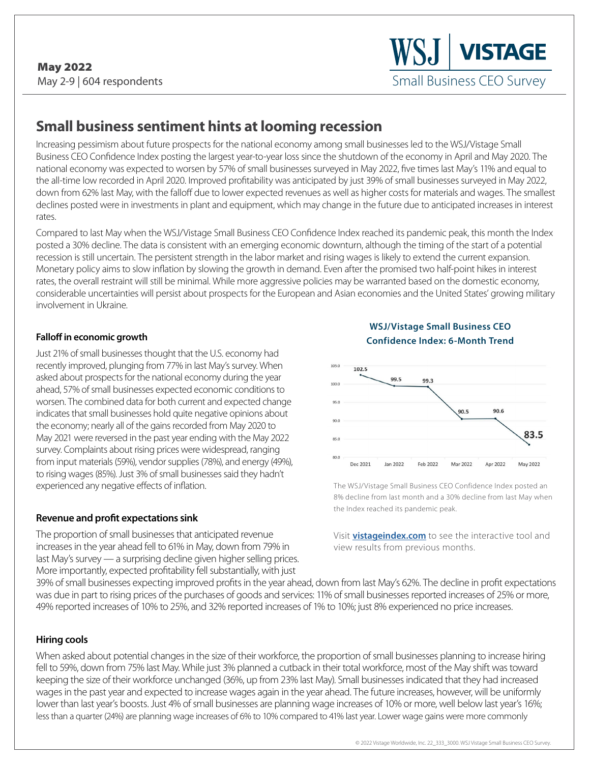# **Small business sentiment hints at looming recession**

Increasing pessimism about future prospects for the national economy among small businesses led to the WSJ/Vistage Small Business CEO Confidence Index posting the largest year-to-year loss since the shutdown of the economy in April and May 2020. The national economy was expected to worsen by 57% of small businesses surveyed in May 2022, five times last May's 11% and equal to the all-time low recorded in April 2020. Improved profitability was anticipated by just 39% of small businesses surveyed in May 2022, down from 62% last May, with the falloff due to lower expected revenues as well as higher costs for materials and wages. The smallest declines posted were in investments in plant and equipment, which may change in the future due to anticipated increases in interest rates.

Compared to last May when the WSJ/Vistage Small Business CEO Confidence Index reached its pandemic peak, this month the Index posted a 30% decline. The data is consistent with an emerging economic downturn, although the timing of the start of a potential recession is still uncertain. The persistent strength in the labor market and rising wages is likely to extend the current expansion. Monetary policy aims to slow inflation by slowing the growth in demand. Even after the promised two half-point hikes in interest rates, the overall restraint will still be minimal. While more aggressive policies may be warranted based on the domestic economy, considerable uncertainties will persist about prospects for the European and Asian economies and the United States' growing military involvement in Ukraine.

### **Falloff in economic growth**

Just 21% of small businesses thought that the U.S. economy had recently improved, plunging from 77% in last May's survey. When asked about prospects for the national economy during the year ahead, 57% of small businesses expected economic conditions to worsen. The combined data for both current and expected change indicates that small businesses hold quite negative opinions about the economy; nearly all of the gains recorded from May 2020 to May 2021 were reversed in the past year ending with the May 2022 survey. Complaints about rising prices were widespread, ranging from input materials (59%), vendor supplies (78%), and energy (49%), to rising wages (85%). Just 3% of small businesses said they hadn't experienced any negative effects of inflation.

### **Revenue and profit expectations sink**

The proportion of small businesses that anticipated revenue increases in the year ahead fell to 61% in May, down from 79% in last May's survey — a surprising decline given higher selling prices. More importantly, expected profitability fell substantially, with just





The WSJ/Vistage Small Business CEO Confidence Index posted an 8% decline from last month and a 30% decline from last May when the Index reached its pandemic peak.

Visit **[vistageindex.com](http://www.vistageindex.com)** to see the interactive tool and view results from previous months.

39% of small businesses expecting improved profits in the year ahead, down from last May's 62%. The decline in profit expectations was due in part to rising prices of the purchases of goods and services: 11% of small businesses reported increases of 25% or more, 49% reported increases of 10% to 25%, and 32% reported increases of 1% to 10%; just 8% experienced no price increases.

### **Hiring cools**

When asked about potential changes in the size of their workforce, the proportion of small businesses planning to increase hiring fell to 59%, down from 75% last May. While just 3% planned a cutback in their total workforce, most of the May shift was toward keeping the size of their workforce unchanged (36%, up from 23% last May). Small businesses indicated that they had increased wages in the past year and expected to increase wages again in the year ahead. The future increases, however, will be uniformly lower than last year's boosts. Just 4% of small businesses are planning wage increases of 10% or more, well below last year's 16%; less than a quarter (24%) are planning wage increases of 6% to 10% compared to 41% last year. Lower wage gains were more commonly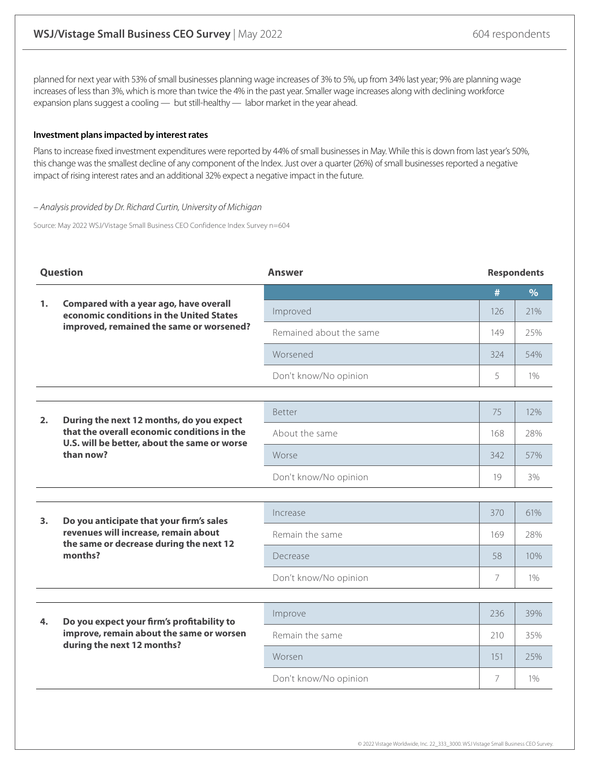planned for next year with 53% of small businesses planning wage increases of 3% to 5%, up from 34% last year; 9% are planning wage increases of less than 3%, which is more than twice the 4% in the past year. Smaller wage increases along with declining workforce expansion plans suggest a cooling — but still-healthy — labor market in the year ahead.

#### **Investment plans impacted by interest rates**

Plans to increase fixed investment expenditures were reported by 44% of small businesses in May. While this is down from last year's 50%, this change was the smallest decline of any component of the Index. Just over a quarter (26%) of small businesses reported a negative impact of rising interest rates and an additional 32% expect a negative impact in the future.

#### – Analysis provided by Dr. Richard Curtin, University of Michigan

Source: May 2022 WSJ/Vistage Small Business CEO Confidence Index Survey n=604

| <b>Question</b> |                                                                                                                                        | <b>Answer</b>           | <b>Respondents</b> |               |
|-----------------|----------------------------------------------------------------------------------------------------------------------------------------|-------------------------|--------------------|---------------|
|                 |                                                                                                                                        |                         | #                  | $\frac{9}{6}$ |
| 1.              | Compared with a year ago, have overall<br>economic conditions in the United States                                                     | Improved                | 126                | 21%           |
|                 | improved, remained the same or worsened?                                                                                               | Remained about the same | 149                | 25%           |
|                 |                                                                                                                                        | Worsened                | 324                | 54%           |
|                 |                                                                                                                                        | Don't know/No opinion   | 5                  | $1\%$         |
|                 |                                                                                                                                        |                         |                    |               |
| 2.              | During the next 12 months, do you expect                                                                                               | Better                  | 75                 | 12%           |
|                 | that the overall economic conditions in the<br>U.S. will be better, about the same or worse                                            | About the same          | 168                | 28%           |
|                 | than now?                                                                                                                              | Worse                   | 342                | 57%           |
|                 |                                                                                                                                        | Don't know/No opinion   | 19                 | 3%            |
|                 |                                                                                                                                        |                         |                    |               |
| 3.              | Do you anticipate that your firm's sales<br>revenues will increase, remain about<br>the same or decrease during the next 12<br>months? | Increase                | 370                | 61%           |
|                 |                                                                                                                                        | Remain the same         | 169                | 28%           |
|                 |                                                                                                                                        | Decrease                | 58                 | 10%           |
|                 |                                                                                                                                        | Don't know/No opinion   | $\overline{7}$     | $1\%$         |
|                 |                                                                                                                                        |                         |                    |               |
| 4.              | Do you expect your firm's profitability to<br>improve, remain about the same or worsen<br>during the next 12 months?                   | Improve                 | 236                | 39%           |
|                 |                                                                                                                                        | Remain the same         | 210                | 35%           |
|                 |                                                                                                                                        | Worsen                  | 151                | 25%           |
|                 |                                                                                                                                        | Don't know/No opinion   | 7                  | 1%            |
|                 |                                                                                                                                        |                         |                    |               |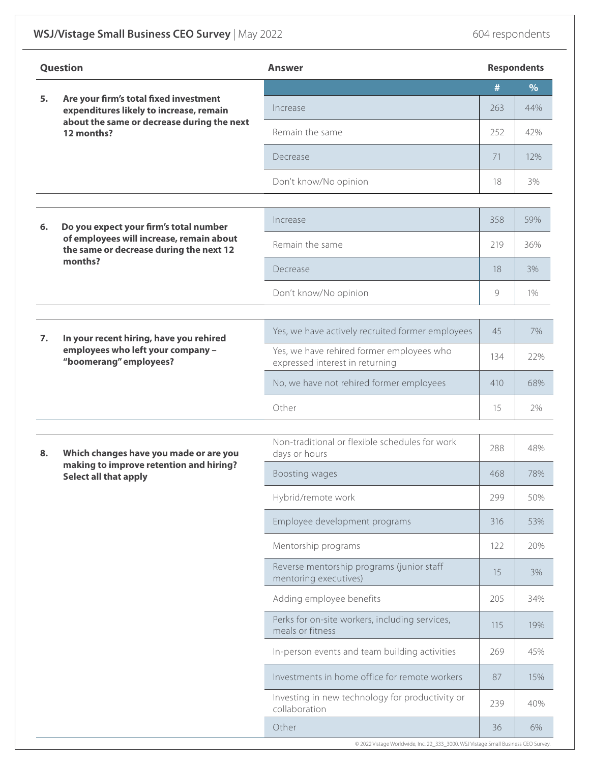## **WSJ/Vistage Small Business CEO Survey** | May 2022 **604 respondents** 604 respondents

| <b>Question</b> |                                                                                                            | <b>Answer</b>                                                                |     | <b>Respondents</b> |  |
|-----------------|------------------------------------------------------------------------------------------------------------|------------------------------------------------------------------------------|-----|--------------------|--|
|                 | Are your firm's total fixed investment                                                                     |                                                                              | #   | $\frac{9}{6}$      |  |
| 5.              | expenditures likely to increase, remain                                                                    | Increase                                                                     | 263 | 44%                |  |
|                 | about the same or decrease during the next<br>12 months?                                                   | Remain the same                                                              | 252 | 42%                |  |
|                 |                                                                                                            | Decrease                                                                     | 71  | 12%                |  |
|                 |                                                                                                            | Don't know/No opinion                                                        | 18  | 3%                 |  |
|                 |                                                                                                            |                                                                              |     |                    |  |
| 6.              | Do you expect your firm's total number                                                                     | Increase                                                                     | 358 | 59%                |  |
|                 | of employees will increase, remain about<br>the same or decrease during the next 12                        | Remain the same                                                              | 219 | 36%                |  |
|                 | months?                                                                                                    | Decrease                                                                     | 18  | 3%                 |  |
|                 |                                                                                                            | Don't know/No opinion                                                        | 9   | 1%                 |  |
|                 |                                                                                                            |                                                                              |     |                    |  |
| 7.              | In your recent hiring, have you rehired<br>employees who left your company -<br>"boomerang" employees?     | Yes, we have actively recruited former employees                             | 45  | 7%                 |  |
|                 |                                                                                                            | Yes, we have rehired former employees who<br>expressed interest in returning | 134 | 22%                |  |
|                 |                                                                                                            | No, we have not rehired former employees                                     | 410 | 68%                |  |
|                 |                                                                                                            | Other                                                                        | 15  | 2%                 |  |
|                 |                                                                                                            | Non-traditional or flexible schedules for work                               |     |                    |  |
| 8.              | Which changes have you made or are you<br>making to improve retention and hiring?<br>Select all that apply | days or hours                                                                | 288 | 48%                |  |
|                 |                                                                                                            | Boosting wages                                                               | 468 | 78%                |  |
|                 |                                                                                                            | Hybrid/remote work                                                           | 299 | 50%                |  |
|                 |                                                                                                            | Employee development programs                                                | 316 | 53%                |  |
|                 |                                                                                                            | Mentorship programs                                                          | 122 | 20%                |  |
|                 |                                                                                                            | Reverse mentorship programs (junior staff<br>mentoring executives)           | 15  | 3%                 |  |
|                 |                                                                                                            | Adding employee benefits                                                     | 205 | 34%                |  |
|                 |                                                                                                            | Perks for on-site workers, including services,<br>meals or fitness           | 115 | 19%                |  |
|                 |                                                                                                            | In-person events and team building activities                                | 269 | 45%                |  |
|                 |                                                                                                            | Investments in home office for remote workers                                | 87  | 15%                |  |
|                 |                                                                                                            | Investing in new technology for productivity or<br>collaboration             | 239 | 40%                |  |
|                 |                                                                                                            | Other                                                                        | 36  | 6%                 |  |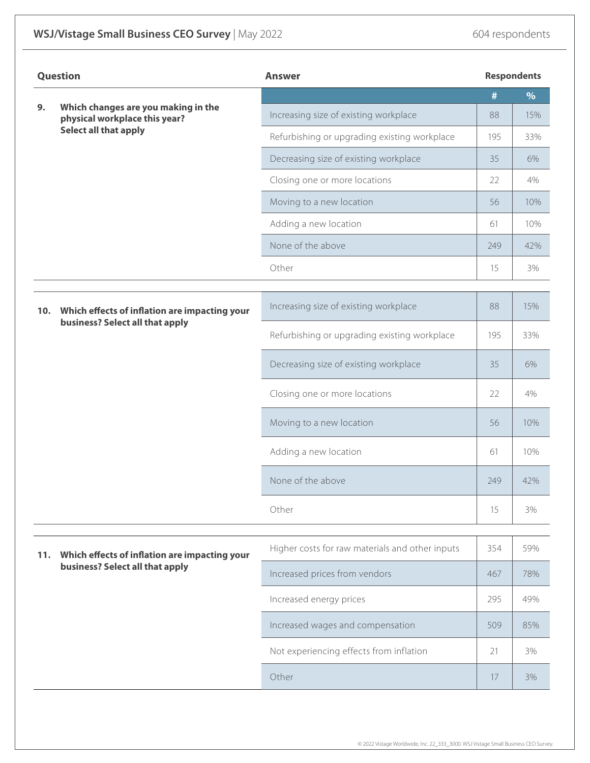| <b>Question</b> |                                                                                  | <b>Answer</b>                                   |     | <b>Respondents</b> |  |
|-----------------|----------------------------------------------------------------------------------|-------------------------------------------------|-----|--------------------|--|
| 9.              |                                                                                  |                                                 | #   | %                  |  |
|                 | Which changes are you making in the<br>physical workplace this year?             | Increasing size of existing workplace           | 88  | 15%                |  |
|                 | Select all that apply                                                            | Refurbishing or upgrading existing workplace    | 195 | 33%                |  |
|                 |                                                                                  | Decreasing size of existing workplace           | 35  | 6%                 |  |
|                 |                                                                                  | Closing one or more locations                   | 22  | 4%                 |  |
|                 |                                                                                  | Moving to a new location                        | 56  | 10%                |  |
|                 |                                                                                  | Adding a new location                           | 61  | 10%                |  |
|                 |                                                                                  | None of the above                               | 249 | 42%                |  |
|                 |                                                                                  | Other                                           | 15  | 3%                 |  |
| 10.             | Which effects of inflation are impacting your<br>business? Select all that apply | Increasing size of existing workplace           | 88  | 15%                |  |
|                 |                                                                                  | Refurbishing or upgrading existing workplace    | 195 | 33%                |  |
|                 |                                                                                  | Decreasing size of existing workplace           | 35  | 6%                 |  |
|                 |                                                                                  | Closing one or more locations                   | 22  | 4%                 |  |
|                 |                                                                                  | Moving to a new location                        | 56  | 10%                |  |
|                 |                                                                                  | Adding a new location                           | 61  | 10%                |  |
|                 |                                                                                  | None of the above                               | 249 | 42%                |  |
|                 |                                                                                  | Other                                           | 15  | 3%                 |  |
| 11.             | Which effects of inflation are impacting your<br>business? Select all that apply | Higher costs for raw materials and other inputs | 354 | 59%                |  |
|                 |                                                                                  | Increased prices from vendors                   | 467 | 78%                |  |
|                 |                                                                                  | Increased energy prices                         | 295 | 49%                |  |
|                 |                                                                                  | Increased wages and compensation                | 509 | 85%                |  |
|                 |                                                                                  | Not experiencing effects from inflation         | 21  | 3%                 |  |
|                 |                                                                                  | Other                                           | 17  | 3%                 |  |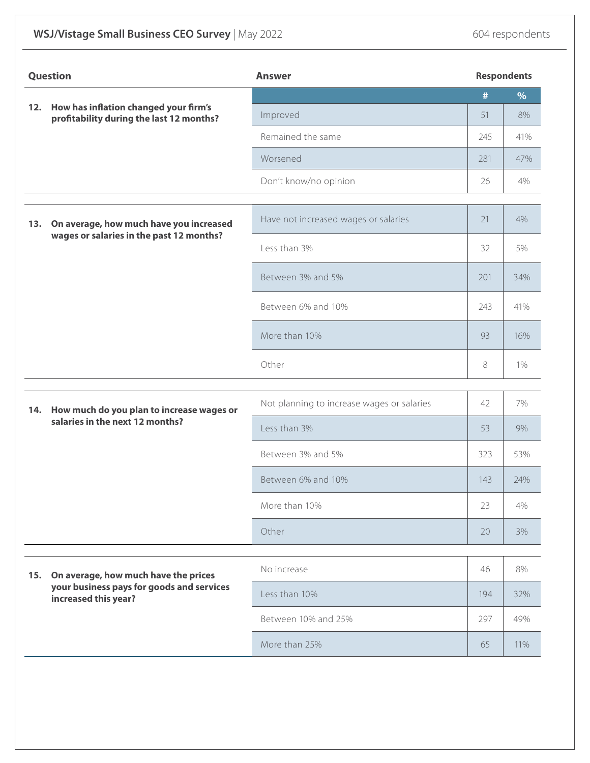## **WSJ/Vistage Small Business CEO Survey** | May 2022 **604 respondents** 604 respondents

| Question |                                                                                                           | <b>Answer</b>                              |     | <b>Respondents</b> |  |
|----------|-----------------------------------------------------------------------------------------------------------|--------------------------------------------|-----|--------------------|--|
|          | 12. How has inflation changed your firm's<br>profitability during the last 12 months?                     |                                            | #   | $\%$               |  |
|          |                                                                                                           | Improved                                   | 51  | 8%                 |  |
|          |                                                                                                           | Remained the same                          | 245 | 41%                |  |
|          |                                                                                                           | Worsened                                   | 281 | 47%                |  |
|          |                                                                                                           | Don't know/no opinion                      | 26  | 4%                 |  |
| 13.      | On average, how much have you increased<br>wages or salaries in the past 12 months?                       | Have not increased wages or salaries       | 21  | 4%                 |  |
|          |                                                                                                           | Less than 3%                               | 32  | 5%                 |  |
|          |                                                                                                           | Between 3% and 5%                          | 201 | 34%                |  |
|          |                                                                                                           | Between 6% and 10%                         | 243 | 41%                |  |
|          |                                                                                                           | More than 10%                              | 93  | 16%                |  |
|          |                                                                                                           | Other                                      | 8   | 1%                 |  |
| 14.      | How much do you plan to increase wages or<br>salaries in the next 12 months?                              | Not planning to increase wages or salaries | 42  | 7%                 |  |
|          |                                                                                                           | Less than 3%                               | 53  | 9%                 |  |
|          |                                                                                                           | Between 3% and 5%                          | 323 | 53%                |  |
|          |                                                                                                           | Between 6% and 10%                         | 143 | 24%                |  |
|          |                                                                                                           | More than 10%                              | 23  | 4%                 |  |
|          |                                                                                                           | Other                                      | 20  | 3%                 |  |
|          | On average, how much have the prices<br>your business pays for goods and services<br>increased this year? | No increase                                | 46  | 8%                 |  |
| 15.      |                                                                                                           | Less than 10%                              | 194 | 32%                |  |
|          |                                                                                                           | Between 10% and 25%                        | 297 | 49%                |  |
|          |                                                                                                           | More than 25%                              | 65  | 11%                |  |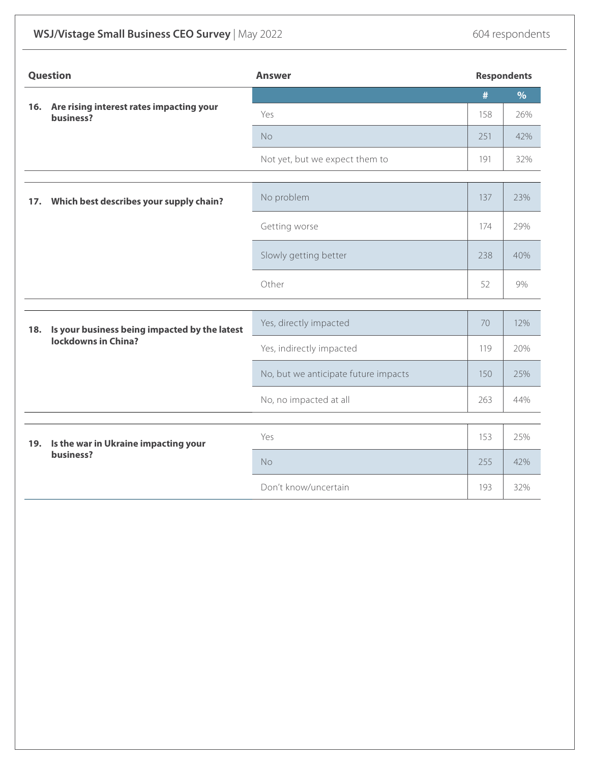## **WSJ/Vistage Small Business CEO Survey** | May 2022 **604 respondents** 604 respondents

|     | <b>Question</b>                                                      | <b>Answer</b>                        |     | <b>Respondents</b> |  |
|-----|----------------------------------------------------------------------|--------------------------------------|-----|--------------------|--|
|     |                                                                      |                                      | #   | $\%$               |  |
|     | 16. Are rising interest rates impacting your<br>business?            | Yes                                  | 158 | 26%                |  |
|     |                                                                      | No                                   | 251 | 42%                |  |
|     |                                                                      | Not yet, but we expect them to       | 191 | 32%                |  |
|     | 17. Which best describes your supply chain?                          | No problem                           | 137 | 23%                |  |
|     |                                                                      | Getting worse                        | 174 | 29%                |  |
|     |                                                                      | Slowly getting better                | 238 | 40%                |  |
|     |                                                                      | Other                                | 52  | 9%                 |  |
|     |                                                                      |                                      |     |                    |  |
| 18. | Is your business being impacted by the latest<br>lockdowns in China? | Yes, directly impacted               | 70  | 12%                |  |
|     |                                                                      | Yes, indirectly impacted             | 119 | 20%                |  |
|     |                                                                      | No, but we anticipate future impacts | 150 | 25%                |  |
|     |                                                                      | No, no impacted at all               | 263 | 44%                |  |
|     |                                                                      |                                      |     |                    |  |
|     | 19. Is the war in Ukraine impacting your<br>business?                | Yes                                  | 153 | 25%                |  |
|     |                                                                      | No                                   | 255 | 42%                |  |
|     |                                                                      | Don't know/uncertain                 | 193 | 32%                |  |